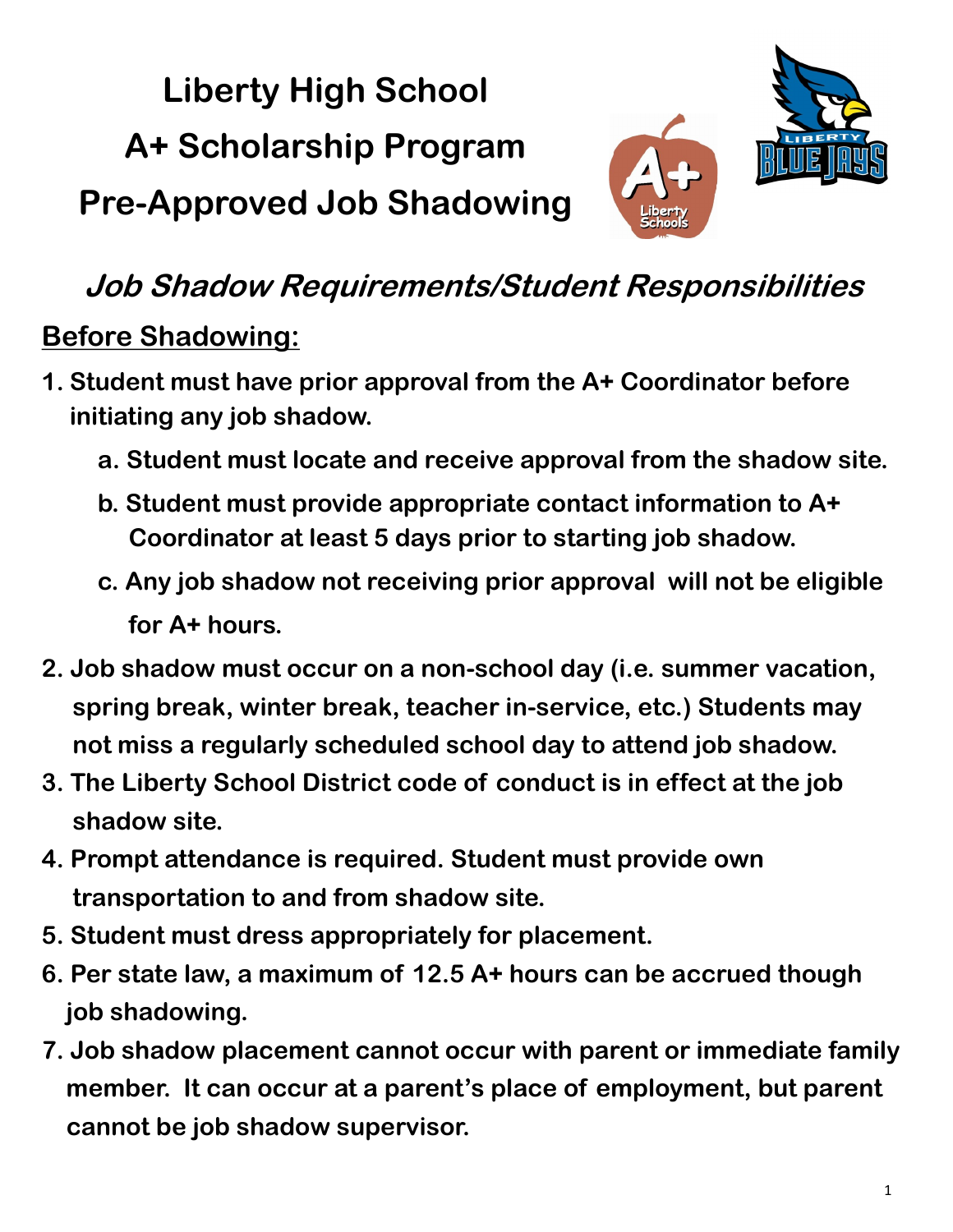**Liberty High School A+ Scholarship Program Pre-Approved Job Shadowing**



# **Job Shadow Requirements/Student Responsibilities**

### **Before Shadowing:**

- **1. Student must have prior approval from the A+ Coordinator before initiating any job shadow.**
	- **a. Student must locate and receive approval from the shadow site.**
	- **b. Student must provide appropriate contact information to A+ Coordinator at least 5 days prior to starting job shadow.**
	- **c. Any job shadow not receiving prior approval will not be eligible for A+ hours.**
- **2. Job shadow must occur on a non-school day (i.e. summer vacation, spring break, winter break, teacher in-service, etc.) Students may not miss a regularly scheduled school day to attend job shadow.**
- **3. The Liberty School District code of conduct is in effect at the job shadow site.**
- **4. Prompt attendance is required. Student must provide own transportation to and from shadow site.**
- **5. Student must dress appropriately for placement.**
- **6. Per state law, a maximum of 12.5 A+ hours can be accrued though job shadowing.**
- **7. Job shadow placement cannot occur with parent or immediate family member. It can occur at a parent's place of employment, but parent cannot be job shadow supervisor.**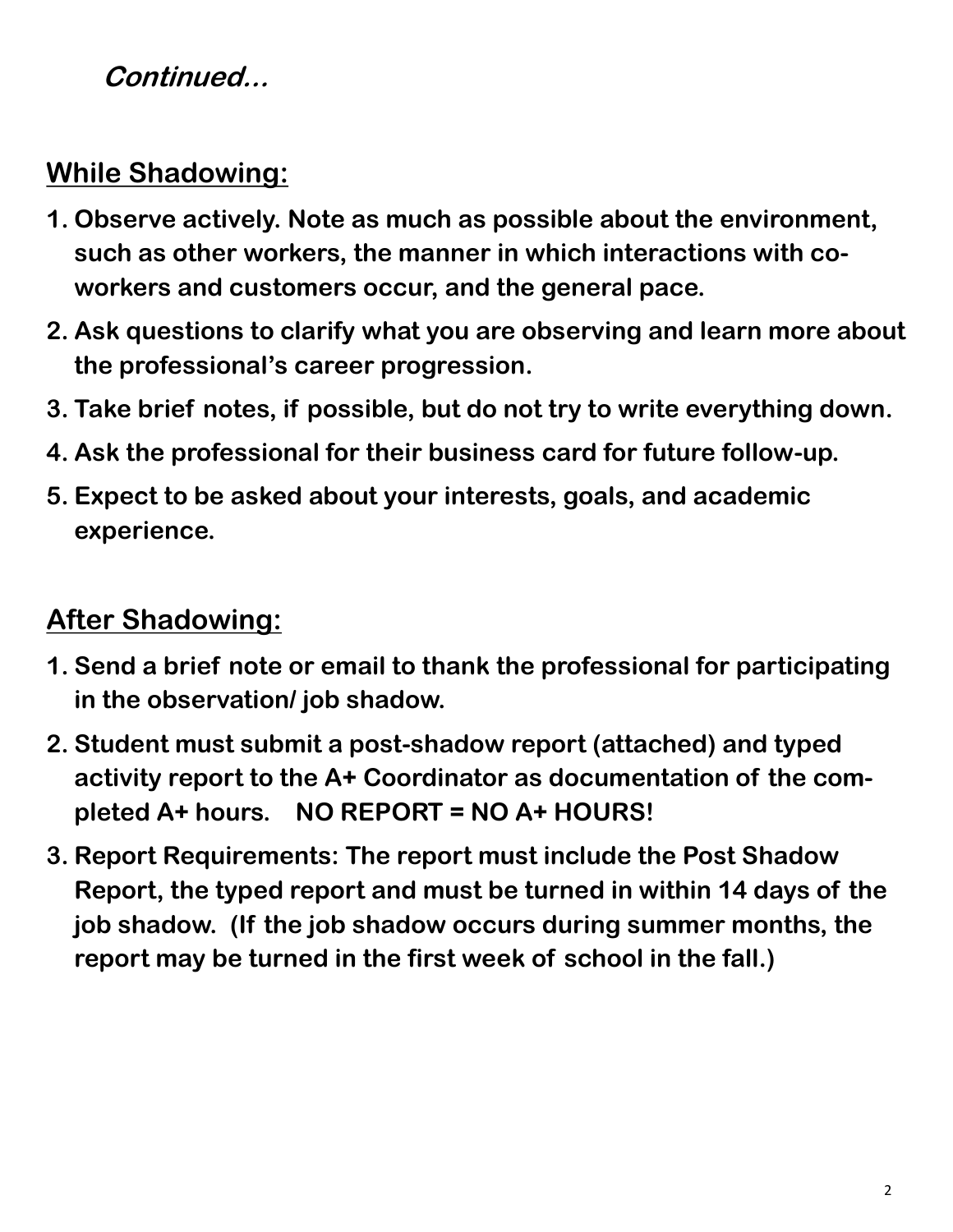#### **Continued...**

## **While Shadowing:**

- **1. Observe actively. Note as much as possible about the environment, such as other workers, the manner in which interactions with coworkers and customers occur, and the general pace.**
- **2. Ask questions to clarify what you are observing and learn more about the professional's career progression.**
- **3. Take brief notes, if possible, but do not try to write everything down.**
- **4. Ask the professional for their business card for future follow-up.**
- **5. Expect to be asked about your interests, goals, and academic experience.**

### **After Shadowing:**

- **1. Send a brief note or email to thank the professional for participating in the observation/ job shadow.**
- **2. Student must submit a post-shadow report (attached) and typed activity report to the A+ Coordinator as documentation of the completed A+ hours. NO REPORT = NO A+ HOURS!**
- **3. Report Requirements: The report must include the Post Shadow Report, the typed report and must be turned in within 14 days of the job shadow. (If the job shadow occurs during summer months, the report may be turned in the first week of school in the fall.)**